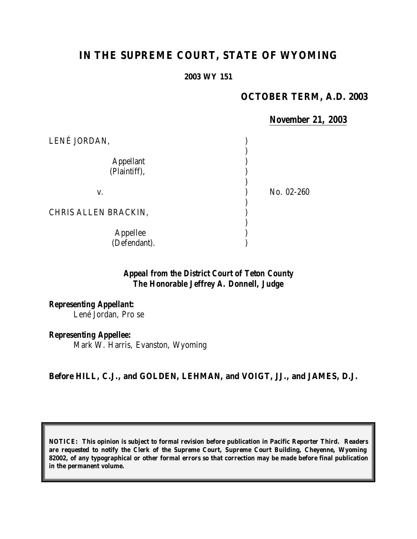# **IN THE SUPREME COURT, STATE OF WYOMING**

#### **2003 WY 151**

### **OCTOBER TERM, A.D. 2003**

#### *November 21, 2003*

| LENÉ JORDAN,                     |            |
|----------------------------------|------------|
| <b>Appellant</b><br>(Plaintiff), |            |
| V.                               | No. 02-260 |
| CHRIS ALLEN BRACKIN,             |            |
| Appellee<br>(Defendant).         |            |

### *Appeal from the District Court of Teton County The Honorable Jeffrey A. Donnell, Judge*

*Representing Appellant:* Lené Jordan, Pro se

*Representing Appellee:*

Mark W. Harris, Evanston, Wyoming

#### **Before HILL, C.J., and GOLDEN, LEHMAN, and VOIGT, JJ., and JAMES, D.J.**

**NOTICE: This opinion is subject to formal revision before publication in Pacific Reporter Third. Readers are requested to notify the Clerk of the Supreme Court, Supreme Court Building, Cheyenne, Wyoming 82002, of any typographical or other formal errors so that correction may be made before final publication in the permanent volume.**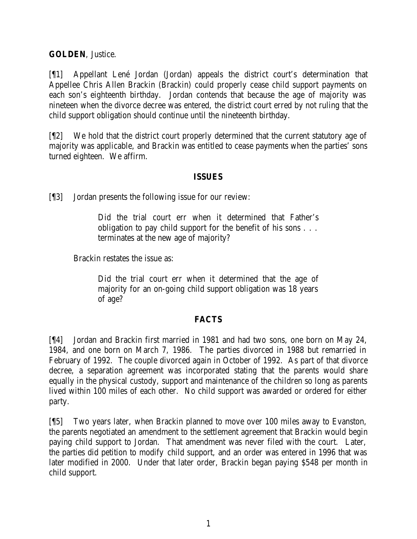**GOLDEN**, Justice.

[¶1] Appellant Lené Jordan (Jordan) appeals the district court's determination that Appellee Chris Allen Brackin (Brackin) could properly cease child support payments on each son's eighteenth birthday. Jordan contends that because the age of majority was nineteen when the divorce decree was entered, the district court erred by not ruling that the child support obligation should continue until the nineteenth birthday.

[¶2] We hold that the district court properly determined that the current statutory age of majority was applicable, and Brackin was entitled to cease payments when the parties' sons turned eighteen. We affirm.

### **ISSUES**

[¶3] Jordan presents the following issue for our review:

Did the trial court err when it determined that Father's obligation to pay child support for the benefit of his sons . . . terminates at the new age of majority?

Brackin restates the issue as:

Did the trial court err when it determined that the age of majority for an on-going child support obligation was 18 years of age?

## **FACTS**

[¶4] Jordan and Brackin first married in 1981 and had two sons, one born on May 24, 1984, and one born on March 7, 1986. The parties divorced in 1988 but remarried in February of 1992. The couple divorced again in October of 1992. As part of that divorce decree, a separation agreement was incorporated stating that the parents would share equally in the physical custody, support and maintenance of the children so long as parents lived within 100 miles of each other. No child support was awarded or ordered for either party.

[¶5] Two years later, when Brackin planned to move over 100 miles away to Evanston, the parents negotiated an amendment to the settlement agreement that Brackin would begin paying child support to Jordan. That amendment was never filed with the court. Later, the parties did petition to modify child support, and an order was entered in 1996 that was later modified in 2000. Under that later order, Brackin began paying \$548 per month in child support.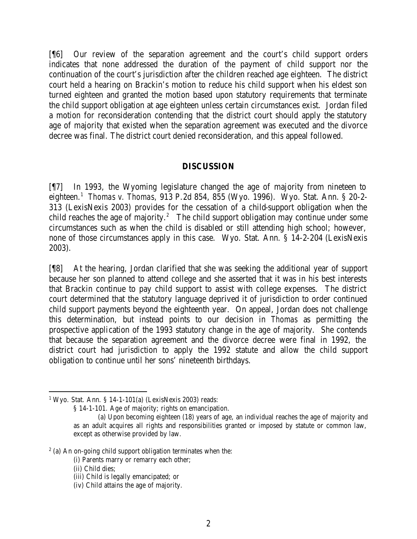[¶6] Our review of the separation agreement and the court's child support orders indicates that none addressed the duration of the payment of child support nor the continuation of the court's jurisdiction after the children reached age eighteen. The district court held a hearing on Brackin's motion to reduce his child support when his eldest son turned eighteen and granted the motion based upon statutory requirements that terminate the child support obligation at age eighteen unless certain circumstances exist. Jordan filed a motion for reconsideration contending that the district court should apply the statutory age of majority that existed when the separation agreement was executed and the divorce decree was final. The district court denied reconsideration, and this appeal followed.

#### **DISCUSSION**

[¶7] In 1993, the Wyoming legislature changed the age of majority from nineteen to eighteen.<sup>1</sup> *Thomas v. Thomas,* 913 P.2d 854, 855 (Wyo. 1996). Wyo. Stat. Ann. § 20-2- 313 (LexisNexis 2003) provides for the cessation of a child-support obligation when the child reaches the age of majority.<sup>2</sup> The child support obligation may continue under some circumstances such as when the child is disabled or still attending high school; however, none of those circumstances apply in this case. Wyo. Stat. Ann. § 14-2-204 (LexisNexis 2003).

[¶8] At the hearing, Jordan clarified that she was seeking the additional year of support because her son planned to attend college and she asserted that it was in his best interests that Brackin continue to pay child support to assist with college expenses. The district court determined that the statutory language deprived it of jurisdiction to order continued child support payments beyond the eighteenth year. On appeal, Jordan does not challenge this determination, but instead points to our decision in *Thomas* as permitting the prospective application of the 1993 statutory change in the age of majority. She contends that because the separation agreement and the divorce decree were final in 1992, the district court had jurisdiction to apply the 1992 statute and allow the child support obligation to continue until her sons' nineteenth birthdays.

<sup>1</sup> Wyo. Stat. Ann. § 14-1-101(a) (LexisNexis 2003) reads:

<sup>§ 14-1-101.</sup> Age of majority; rights on emancipation.

<sup>(</sup>a) Upon becoming eighteen (18) years of age, an individual reaches the age of majority and as an adult acquires all rights and responsibilities granted or imposed by statute or common law, except as otherwise provided by law.

 $2$  (a) An on-going child support obligation terminates when the:

<sup>(</sup>i) Parents marry or remarry each other;

<sup>(</sup>ii) Child dies;

<sup>(</sup>iii) Child is legally emancipated; or

<sup>(</sup>iv) Child attains the age of majority.